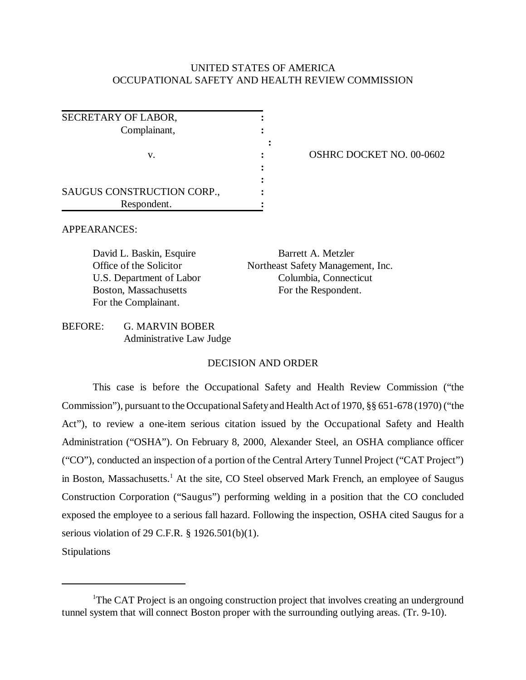## UNITED STATES OF AMERICA OCCUPATIONAL SAFETY AND HEALTH REVIEW COMMISSION

| SECRETARY OF LABOR,        |  |
|----------------------------|--|
| Complainant,               |  |
|                            |  |
| V.                         |  |
|                            |  |
|                            |  |
| SAUGUS CONSTRUCTION CORP., |  |
| Respondent.                |  |

**OSHRC DOCKET NO. 00-0602** 

APPEARANCES:

David L. Baskin, Esquire Barrett A. Metzler Boston, Massachusetts For the Respondent. For the Complainant.

Office of the Solicitor Northeast Safety Management, Inc. U.S. Department of Labor Columbia, Connecticut

BEFORE: G. MARVIN BOBER Administrative Law Judge

## DECISION AND ORDER

This case is before the Occupational Safety and Health Review Commission ("the Commission"), pursuant to the Occupational Safety and Health Act of 1970, §§ 651-678 (1970) ("the Act"), to review a one-item serious citation issued by the Occupational Safety and Health Administration ("OSHA"). On February 8, 2000, Alexander Steel, an OSHA compliance officer ("CO"), conducted an inspection of a portion of the Central Artery Tunnel Project ("CAT Project") in Boston, Massachusetts.<sup>1</sup> At the site, CO Steel observed Mark French, an employee of Saugus Construction Corporation ("Saugus") performing welding in a position that the CO concluded exposed the employee to a serious fall hazard. Following the inspection, OSHA cited Saugus for a serious violation of 29 C.F.R. § 1926.501(b)(1).

Stipulations

<sup>&</sup>lt;sup>1</sup>The CAT Project is an ongoing construction project that involves creating an underground tunnel system that will connect Boston proper with the surrounding outlying areas. (Tr. 9-10).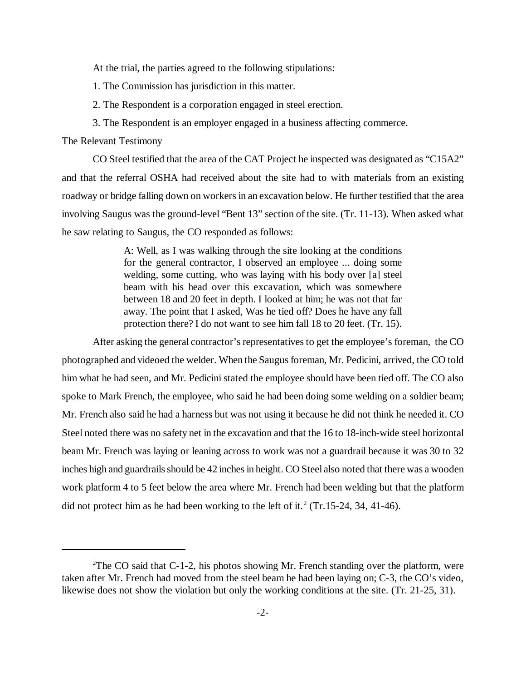At the trial, the parties agreed to the following stipulations:

1. The Commission has jurisdiction in this matter.

2. The Respondent is a corporation engaged in steel erection.

3. The Respondent is an employer engaged in a business affecting commerce.

The Relevant Testimony

CO Steel testified that the area of the CAT Project he inspected was designated as "C15A2" and that the referral OSHA had received about the site had to with materials from an existing roadway or bridge falling down on workers in an excavation below. He further testified that the area involving Saugus was the ground-level "Bent 13" section of the site. (Tr. 11-13). When asked what he saw relating to Saugus, the CO responded as follows:

> A: Well, as I was walking through the site looking at the conditions for the general contractor, I observed an employee ... doing some welding, some cutting, who was laying with his body over [a] steel beam with his head over this excavation, which was somewhere between 18 and 20 feet in depth. I looked at him; he was not that far away. The point that I asked, Was he tied off? Does he have any fall protection there? I do not want to see him fall 18 to 20 feet. (Tr. 15).

After asking the general contractor's representatives to get the employee's foreman, the CO photographed and videoed the welder. When the Saugus foreman, Mr. Pedicini, arrived, the CO told him what he had seen, and Mr. Pedicini stated the employee should have been tied off. The CO also spoke to Mark French, the employee, who said he had been doing some welding on a soldier beam; Mr. French also said he had a harness but was not using it because he did not think he needed it. CO Steel noted there was no safety net in the excavation and that the 16 to 18-inch-wide steel horizontal beam Mr. French was laying or leaning across to work was not a guardrail because it was 30 to 32 inches high and guardrails should be 42 inches in height. CO Steel also noted that there was a wooden work platform 4 to 5 feet below the area where Mr. French had been welding but that the platform did not protect him as he had been working to the left of it.<sup>2</sup> (Tr.15-24, 34, 41-46).

<sup>&</sup>lt;sup>2</sup>The CO said that C-1-2, his photos showing Mr. French standing over the platform, were taken after Mr. French had moved from the steel beam he had been laying on; C-3, the CO's video, likewise does not show the violation but only the working conditions at the site. (Tr. 21-25, 31).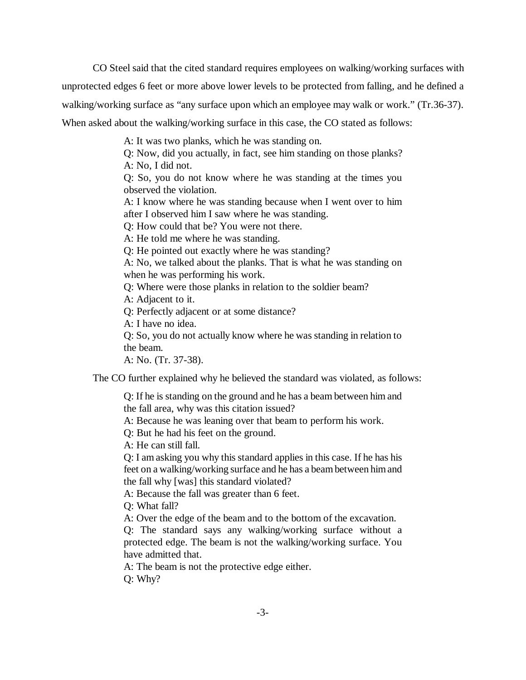CO Steel said that the cited standard requires employees on walking/working surfaces with unprotected edges 6 feet or more above lower levels to be protected from falling, and he defined a walking/working surface as "any surface upon which an employee may walk or work." (Tr.36-37). When asked about the walking/working surface in this case, the CO stated as follows:

A: It was two planks, which he was standing on.

Q: Now, did you actually, in fact, see him standing on those planks? A: No, I did not.

Q: So, you do not know where he was standing at the times you observed the violation.

A: I know where he was standing because when I went over to him after I observed him I saw where he was standing.

Q: How could that be? You were not there.

A: He told me where he was standing.

Q: He pointed out exactly where he was standing?

A: No, we talked about the planks. That is what he was standing on when he was performing his work.

Q: Where were those planks in relation to the soldier beam?

A: Adjacent to it.

Q: Perfectly adjacent or at some distance?

A: I have no idea.

Q: So, you do not actually know where he was standing in relation to the beam.

A: No. (Tr. 37-38).

The CO further explained why he believed the standard was violated, as follows:

Q: If he is standing on the ground and he has a beam between him and the fall area, why was this citation issued?

A: Because he was leaning over that beam to perform his work.

Q: But he had his feet on the ground.

A: He can still fall.

Q: I am asking you why this standard applies in this case. If he has his feet on a walking/working surface and he has a beam between him and the fall why [was] this standard violated?

A: Because the fall was greater than 6 feet.

Q: What fall?

A: Over the edge of the beam and to the bottom of the excavation.

Q: The standard says any walking/working surface without a protected edge. The beam is not the walking/working surface. You have admitted that.

A: The beam is not the protective edge either.

Q: Why?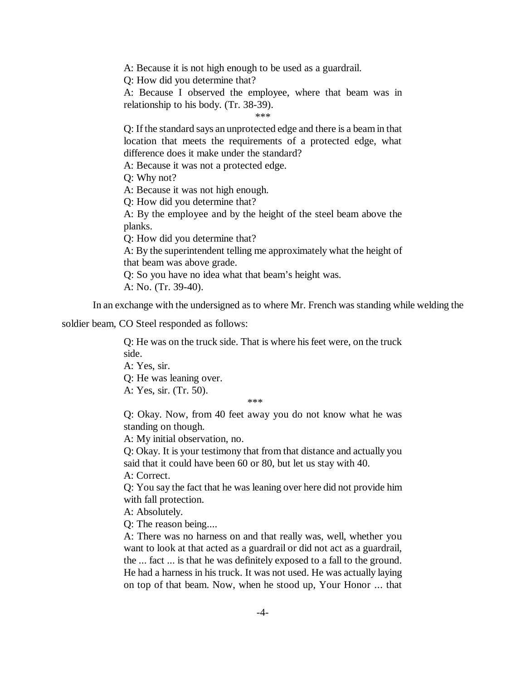A: Because it is not high enough to be used as a guardrail.

Q: How did you determine that?

A: Because I observed the employee, where that beam was in relationship to his body. (Tr. 38-39).

\*\*\*

Q: If the standard says an unprotected edge and there is a beam in that location that meets the requirements of a protected edge, what difference does it make under the standard?

A: Because it was not a protected edge.

Q: Why not?

A: Because it was not high enough.

Q: How did you determine that?

A: By the employee and by the height of the steel beam above the planks.

Q: How did you determine that?

A: By the superintendent telling me approximately what the height of that beam was above grade.

Q: So you have no idea what that beam's height was.

A: No. (Tr. 39-40).

In an exchange with the undersigned as to where Mr. French was standing while welding the

soldier beam, CO Steel responded as follows:

Q: He was on the truck side. That is where his feet were, on the truck side.

A: Yes, sir.

Q: He was leaning over.

A: Yes, sir. (Tr. 50).

\*\*\*

Q: Okay. Now, from 40 feet away you do not know what he was standing on though.

A: My initial observation, no.

Q: Okay. It is your testimony that from that distance and actually you said that it could have been 60 or 80, but let us stay with 40.

A: Correct.

Q: You say the fact that he was leaning over here did not provide him with fall protection.

A: Absolutely.

Q: The reason being....

A: There was no harness on and that really was, well, whether you want to look at that acted as a guardrail or did not act as a guardrail, the ... fact ... is that he was definitely exposed to a fall to the ground. He had a harness in his truck. It was not used. He was actually laying on top of that beam. Now, when he stood up, Your Honor ... that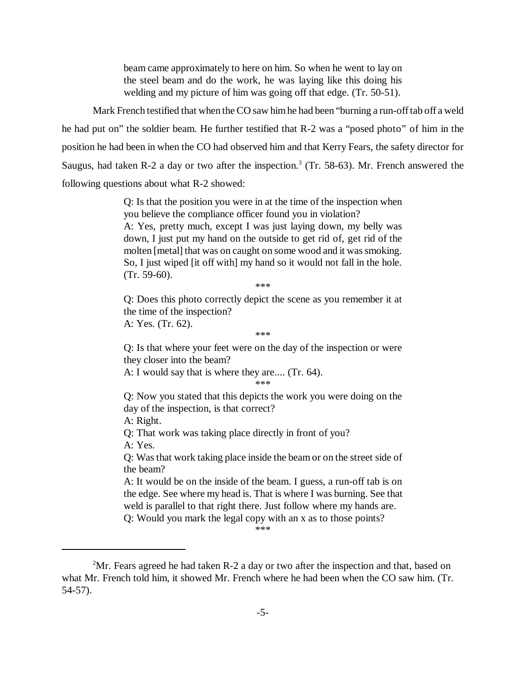beam came approximately to here on him. So when he went to lay on the steel beam and do the work, he was laying like this doing his welding and my picture of him was going off that edge. (Tr. 50-51).

Mark French testified that when the CO saw him he had been "burning a run-off tab off a weld he had put on" the soldier beam. He further testified that R-2 was a "posed photo" of him in the position he had been in when the CO had observed him and that Kerry Fears, the safety director for Saugus, had taken R-2 a day or two after the inspection.<sup>3</sup> (Tr. 58-63). Mr. French answered the following questions about what R-2 showed:

> Q: Is that the position you were in at the time of the inspection when you believe the compliance officer found you in violation? A: Yes, pretty much, except I was just laying down, my belly was down, I just put my hand on the outside to get rid of, get rid of the molten [metal] that was on caught on some wood and it was smoking. So, I just wiped [it off with] my hand so it would not fall in the hole. (Tr. 59-60).

> > \*\*\*

Q: Does this photo correctly depict the scene as you remember it at the time of the inspection?

A: Yes. (Tr. 62).

\*\*\*

Q: Is that where your feet were on the day of the inspection or were they closer into the beam?

A: I would say that is where they are.... (Tr. 64).

\*\*\*

Q: Now you stated that this depicts the work you were doing on the day of the inspection, is that correct?

A: Right.

Q: That work was taking place directly in front of you? A: Yes.

Q: Was that work taking place inside the beam or on the street side of the beam?

A: It would be on the inside of the beam. I guess, a run-off tab is on the edge. See where my head is. That is where I was burning. See that weld is parallel to that right there. Just follow where my hands are.

Q: Would you mark the legal copy with an x as to those points?

\*\*\*

 $2^2$ Mr. Fears agreed he had taken R-2 a day or two after the inspection and that, based on what Mr. French told him, it showed Mr. French where he had been when the CO saw him. (Tr. 54-57).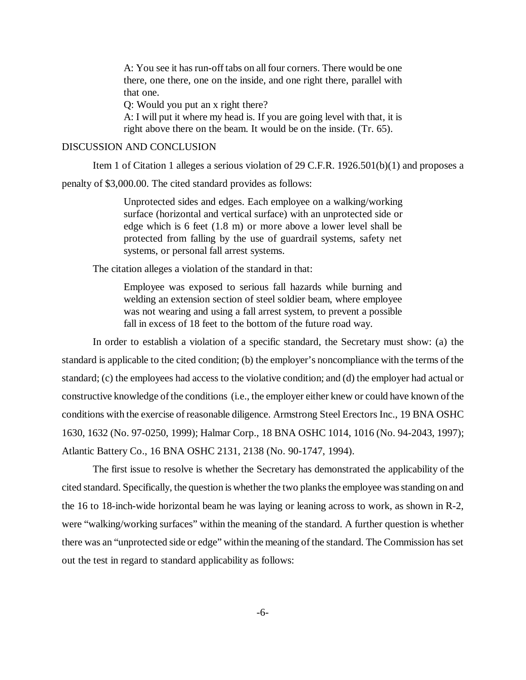A: You see it has run-off tabs on all four corners. There would be one there, one there, one on the inside, and one right there, parallel with that one.

Q: Would you put an x right there?

A: I will put it where my head is. If you are going level with that, it is right above there on the beam. It would be on the inside. (Tr. 65).

## DISCUSSION AND CONCLUSION

Item 1 of Citation 1 alleges a serious violation of 29 C.F.R. 1926.501(b)(1) and proposes a

penalty of \$3,000.00. The cited standard provides as follows:

Unprotected sides and edges. Each employee on a walking/working surface (horizontal and vertical surface) with an unprotected side or edge which is 6 feet (1.8 m) or more above a lower level shall be protected from falling by the use of guardrail systems, safety net systems, or personal fall arrest systems.

The citation alleges a violation of the standard in that:

Employee was exposed to serious fall hazards while burning and welding an extension section of steel soldier beam, where employee was not wearing and using a fall arrest system, to prevent a possible fall in excess of 18 feet to the bottom of the future road way.

In order to establish a violation of a specific standard, the Secretary must show: (a) the standard is applicable to the cited condition; (b) the employer's noncompliance with the terms of the standard; (c) the employees had access to the violative condition; and (d) the employer had actual or constructive knowledge of the conditions (i.e., the employer either knew or could have known of the conditions with the exercise of reasonable diligence. Armstrong Steel Erectors Inc., 19 BNA OSHC 1630, 1632 (No. 97-0250, 1999); Halmar Corp., 18 BNA OSHC 1014, 1016 (No. 94-2043, 1997); Atlantic Battery Co., 16 BNA OSHC 2131, 2138 (No. 90-1747, 1994).

The first issue to resolve is whether the Secretary has demonstrated the applicability of the cited standard. Specifically, the question is whether the two planks the employee was standing on and the 16 to 18-inch-wide horizontal beam he was laying or leaning across to work, as shown in R-2, were "walking/working surfaces" within the meaning of the standard. A further question is whether there was an "unprotected side or edge" within the meaning of the standard. The Commission has set out the test in regard to standard applicability as follows: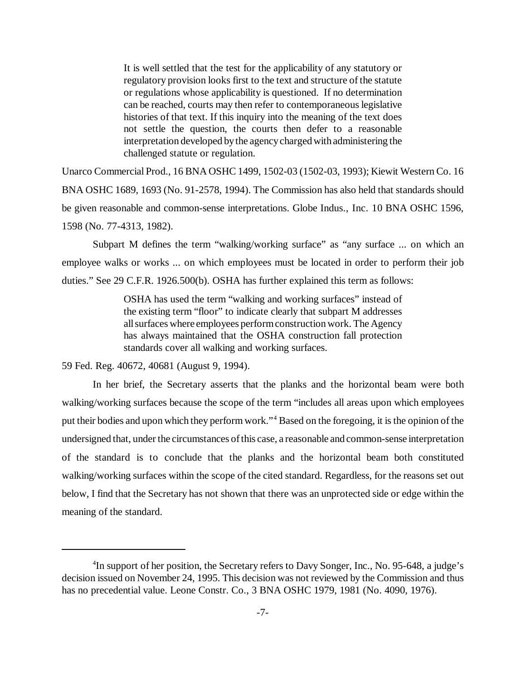It is well settled that the test for the applicability of any statutory or regulatory provision looks first to the text and structure of the statute or regulations whose applicability is questioned. If no determination can be reached, courts may then refer to contemporaneous legislative histories of that text. If this inquiry into the meaning of the text does not settle the question, the courts then defer to a reasonable interpretation developed by the agency charged with administering the challenged statute or regulation.

Unarco Commercial Prod., 16 BNA OSHC 1499, 1502-03 (1502-03, 1993); Kiewit Western Co. 16 BNA OSHC 1689, 1693 (No. 91-2578, 1994). The Commission has also held that standards should be given reasonable and common-sense interpretations. Globe Indus., Inc. 10 BNA OSHC 1596, 1598 (No. 77-4313, 1982).

Subpart M defines the term "walking/working surface" as "any surface ... on which an employee walks or works ... on which employees must be located in order to perform their job duties." See 29 C.F.R. 1926.500(b). OSHA has further explained this term as follows:

> OSHA has used the term "walking and working surfaces" instead of the existing term "floor" to indicate clearly that subpart M addresses all surfaces where employees perform construction work. The Agency has always maintained that the OSHA construction fall protection standards cover all walking and working surfaces.

59 Fed. Reg. 40672, 40681 (August 9, 1994).

In her brief, the Secretary asserts that the planks and the horizontal beam were both walking/working surfaces because the scope of the term "includes all areas upon which employees put their bodies and upon which they perform work."4 Based on the foregoing, it is the opinion of the undersigned that, under the circumstances of this case, a reasonable and common-sense interpretation of the standard is to conclude that the planks and the horizontal beam both constituted walking/working surfaces within the scope of the cited standard. Regardless, for the reasons set out below, I find that the Secretary has not shown that there was an unprotected side or edge within the meaning of the standard.

<sup>&</sup>lt;sup>4</sup>In support of her position, the Secretary refers to Davy Songer, Inc., No. 95-648, a judge's decision issued on November 24, 1995. This decision was not reviewed by the Commission and thus has no precedential value. Leone Constr. Co., 3 BNA OSHC 1979, 1981 (No. 4090, 1976).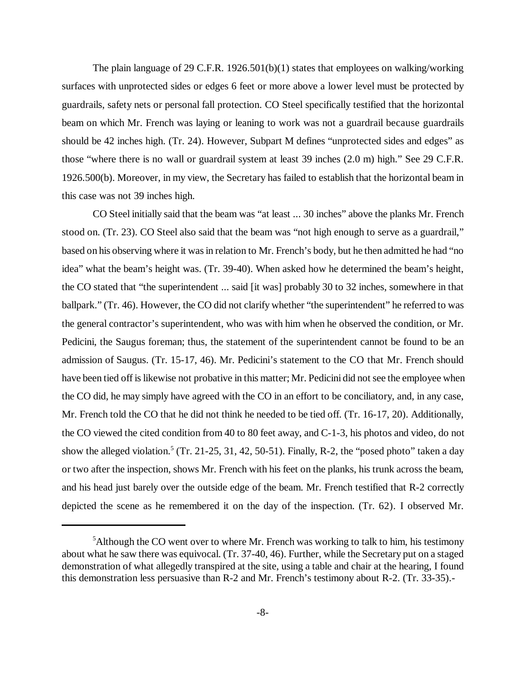The plain language of 29 C.F.R. 1926.501(b)(1) states that employees on walking/working surfaces with unprotected sides or edges 6 feet or more above a lower level must be protected by guardrails, safety nets or personal fall protection. CO Steel specifically testified that the horizontal beam on which Mr. French was laying or leaning to work was not a guardrail because guardrails should be 42 inches high. (Tr. 24). However, Subpart M defines "unprotected sides and edges" as those "where there is no wall or guardrail system at least 39 inches (2.0 m) high." See 29 C.F.R. 1926.500(b). Moreover, in my view, the Secretary has failed to establish that the horizontal beam in this case was not 39 inches high.

CO Steel initially said that the beam was "at least ... 30 inches" above the planks Mr. French stood on. (Tr. 23). CO Steel also said that the beam was "not high enough to serve as a guardrail," based on his observing where it was in relation to Mr. French's body, but he then admitted he had "no idea" what the beam's height was. (Tr. 39-40). When asked how he determined the beam's height, the CO stated that "the superintendent ... said [it was] probably 30 to 32 inches, somewhere in that ballpark." (Tr. 46). However, the CO did not clarify whether "the superintendent" he referred to was the general contractor's superintendent, who was with him when he observed the condition, or Mr. Pedicini, the Saugus foreman; thus, the statement of the superintendent cannot be found to be an admission of Saugus. (Tr. 15-17, 46). Mr. Pedicini's statement to the CO that Mr. French should have been tied off is likewise not probative in this matter; Mr. Pedicini did not see the employee when the CO did, he may simply have agreed with the CO in an effort to be conciliatory, and, in any case, Mr. French told the CO that he did not think he needed to be tied off. (Tr. 16-17, 20). Additionally, the CO viewed the cited condition from 40 to 80 feet away, and C-1-3, his photos and video, do not show the alleged violation.<sup>5</sup> (Tr. 21-25, 31, 42, 50-51). Finally, R-2, the "posed photo" taken a day or two after the inspection, shows Mr. French with his feet on the planks, his trunk across the beam, and his head just barely over the outside edge of the beam. Mr. French testified that R-2 correctly depicted the scene as he remembered it on the day of the inspection. (Tr. 62). I observed Mr.

<sup>&</sup>lt;sup>5</sup>Although the CO went over to where Mr. French was working to talk to him, his testimony about what he saw there was equivocal. (Tr. 37-40, 46). Further, while the Secretary put on a staged demonstration of what allegedly transpired at the site, using a table and chair at the hearing, I found this demonstration less persuasive than R-2 and Mr. French's testimony about R-2. (Tr. 33-35).-